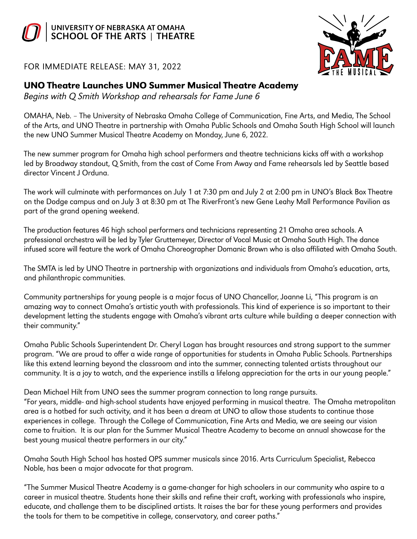



FOR IMMEDIATE RELEASE: MAY 31, 2022

## UNO Theatre Launches UNO Summer Musical Theatre Academy

Begins with Q Smith Workshop and rehearsals for Fame June 6

OMAHA, Neb. – The University of Nebraska Omaha College of Communication, Fine Arts, and Media, The School of the Arts, and UNO Theatre in partnership with Omaha Public Schools and Omaha South High School will launch the new UNO Summer Musical Theatre Academy on Monday, June 6, 2022.

The new summer program for Omaha high school performers and theatre technicians kicks off with a workshop led by Broadway standout, Q Smith, from the cast of Come From Away and Fame rehearsals led by Seattle based director Vincent J Orduna.

The work will culminate with performances on July 1 at 7:30 pm and July 2 at 2:00 pm in UNO's Black Box Theatre on the Dodge campus and on July 3 at 8:30 pm at The RiverFront's new Gene Leahy Mall Performance Pavilion as part of the grand opening weekend.

The production features 46 high school performers and technicians representing 21 Omaha area schools. A professional orchestra will be led by Tyler Gruttemeyer, Director of Vocal Music at Omaha South High. The dance infused score will feature the work of Omaha Choreographer Domanic Brown who is also affiliated with Omaha South.

The SMTA is led by UNO Theatre in partnership with organizations and individuals from Omaha's education, arts, and philanthropic communities.

Community partnerships for young people is a major focus of UNO Chancellor, Joanne Li, "This program is an amazing way to connect Omaha's artistic youth with professionals. This kind of experience is so important to their development letting the students engage with Omaha's vibrant arts culture while building a deeper connection with their community."

Omaha Public Schools Superintendent Dr. Cheryl Logan has brought resources and strong support to the summer program. "We are proud to offer a wide range of opportunities for students in Omaha Public Schools. Partnerships like this extend learning beyond the classroom and into the summer, connecting talented artists throughout our community. It is a joy to watch, and the experience instills a lifelong appreciation for the arts in our young people."

Dean Michael Hilt from UNO sees the summer program connection to long range pursuits. "For years, middle- and high-school students have enjoyed performing in musical theatre. The Omaha metropolitan area is a hotbed for such activity, and it has been a dream at UNO to allow those students to continue those experiences in college. Through the College of Communication, Fine Arts and Media, we are seeing our vision come to fruition. It is our plan for the Summer Musical Theatre Academy to become an annual showcase for the best young musical theatre performers in our city."

Omaha South High School has hosted OPS summer musicals since 2016. Arts Curriculum Specialist, Rebecca Noble, has been a major advocate for that program.

"The Summer Musical Theatre Academy is a game-changer for high schoolers in our community who aspire to a career in musical theatre. Students hone their skills and refine their craft, working with professionals who inspire, educate, and challenge them to be disciplined artists. It raises the bar for these young performers and provides the tools for them to be competitive in college, conservatory, and career paths."